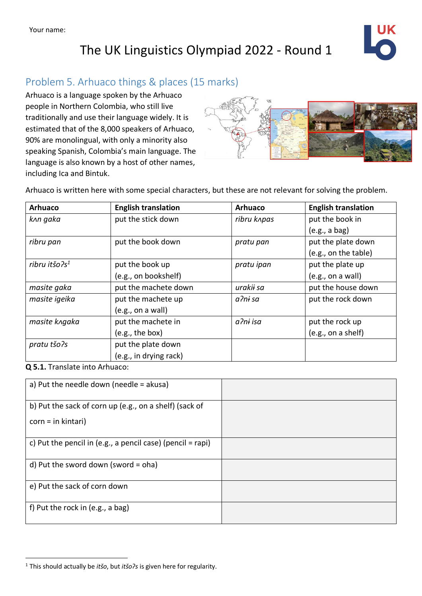## The UK Linguistics Olympiad 2022 - Round 1



## Problem 5. Arhuaco things & places (15 marks)

Arhuaco is a language spoken by the Arhuaco people in Northern Colombia, who still live traditionally and use their language widely. It is estimated that of the 8,000 speakers of Arhuaco, 90% are monolingual, with only a minority also speaking Spanish, Colombia's main language. The language is also known by a host of other names, including Ica and Bintuk.



Arhuaco is written here with some special characters, but these are not relevant for solving the problem.

| <b>Arhuaco</b>   | <b>English translation</b> | <b>Arhuaco</b> | <b>English translation</b> |
|------------------|----------------------------|----------------|----------------------------|
| knn gaka         | put the stick down         | ribru knpas    | put the book in            |
|                  |                            |                | (e.g., a bag)              |
| ribru pan        | put the book down          | pratu pan      | put the plate down         |
|                  |                            |                | (e.g., on the table)       |
| ribru itšo $2s1$ | put the book up            | pratu ipan     | put the plate up           |
|                  | (e.g., on bookshelf)       |                | (e.g., on a wall)          |
| masite gaka      | put the machete down       | urakii sa      | put the house down         |
| masite igeika    | put the machete up         | a?ni sa        | put the rock down          |
|                  | (e.g., on a wall)          |                |                            |
| masite kngaka    | put the machete in         | a?ni isa       | put the rock up            |
|                  | (e.g., the box)            |                | (e.g., on a shelf)         |
| pratu tšo?s      | put the plate down         |                |                            |
|                  | (e.g., in drying rack)     |                |                            |

#### **Q 5.1.** Translate into Arhuaco:

| a) Put the needle down (needle $=$ akusa)                  |  |
|------------------------------------------------------------|--|
| b) Put the sack of corn up (e.g., on a shelf) (sack of     |  |
| $corr = in kintari)$                                       |  |
| c) Put the pencil in (e.g., a pencil case) (pencil = rapi) |  |
| d) Put the sword down (sword = $\alpha$ ha)                |  |
| e) Put the sack of corn down                               |  |
| f) Put the rock in (e.g., a bag)                           |  |

<sup>1</sup> This should actually be *itšo*, but *itšoɁs* is given here for regularity.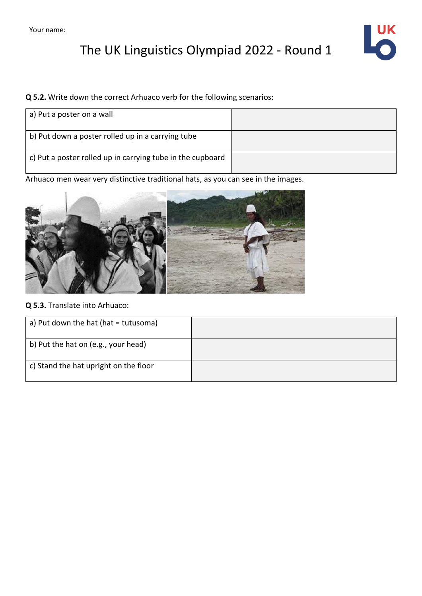# The UK Linguistics Olympiad 2022 - Round 1



## **Q 5.2.** Write down the correct Arhuaco verb for the following scenarios:

| a) Put a poster on a wall                                  |  |
|------------------------------------------------------------|--|
| b) Put down a poster rolled up in a carrying tube          |  |
| c) Put a poster rolled up in carrying tube in the cupboard |  |

Arhuaco men wear very distinctive traditional hats, as you can see in the images.



## **Q 5.3.** Translate into Arhuaco:

| a) Put down the hat (hat = tutusoma)  |  |
|---------------------------------------|--|
| b) Put the hat on (e.g., your head)   |  |
| c) Stand the hat upright on the floor |  |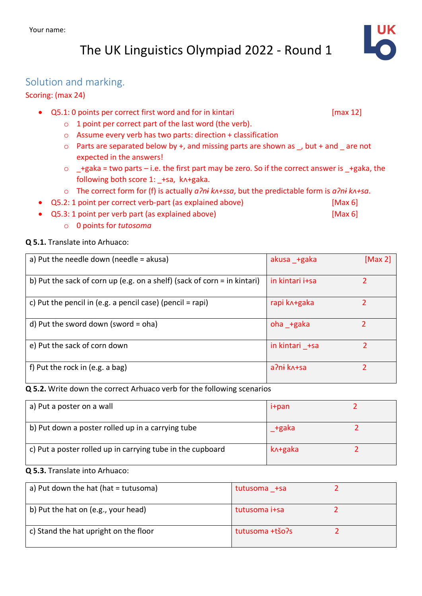## The UK Linguistics Olympiad 2022 - Round 1

## Solution and marking.

### Scoring: (max 24)

- $Q5.1: 0$  points per correct first word and for in kintari [max 12]
	- o 1 point per correct part of the last word (the verb).
	- o Assume every verb has two parts: direction + classification
	- $\circ$  Parts are separated below by +, and missing parts are shown as , but + and are not expected in the answers!
	- $\circ$  +gaka = two parts i.e. the first part may be zero. So if the correct answer is +gaka, the following both score 1: \_+sa, k^+gaka.
	- o The correct form for (f) is actually *aɁnɨ kᴧ+ssa*, but the predictable form is *aɁnɨ kᴧ+sa*.
- Q5.2: 1 point per correct verb-part (as explained above) [Max 6]
- Q5.3: 1 point per verb part (as explained above) [Max 6]
	- o 0 points for *tutosoma*

### **Q 5.1.** Translate into Arhuaco:

| a) Put the needle down (needle = akusa)                                  | akusa +gaka     | [Max 2] |
|--------------------------------------------------------------------------|-----------------|---------|
| b) Put the sack of corn up (e.g. on a shelf) (sack of corn = in kintari) | in kintari i+sa |         |
| c) Put the pencil in (e.g. a pencil case) (pencil = rapi)                | rapi k^+gaka    |         |
| d) Put the sword down (sword = $\alpha$ ha)                              | oha +gaka       |         |
| e) Put the sack of corn down                                             | in kintari +sa  | 2       |
| f) Put the rock in $(e.g. a bag)$                                        | a?ni k^+sa      | ำ       |

#### **Q 5.2.** Write down the correct Arhuaco verb for the following scenarios

| a) Put a poster on a wall                                  | i+pan   |  |
|------------------------------------------------------------|---------|--|
| b) Put down a poster rolled up in a carrying tube          | +gaka   |  |
| c) Put a poster rolled up in carrying tube in the cupboard | k^+gaka |  |

## **Q 5.3.** Translate into Arhuaco:

| a) Put down the hat (hat $=$ tutusoma) | tutusoma +sa    |  |
|----------------------------------------|-----------------|--|
| b) Put the hat on (e.g., your head)    | tutusoma i+sa   |  |
| c) Stand the hat upright on the floor  | tutusoma +tšo?s |  |